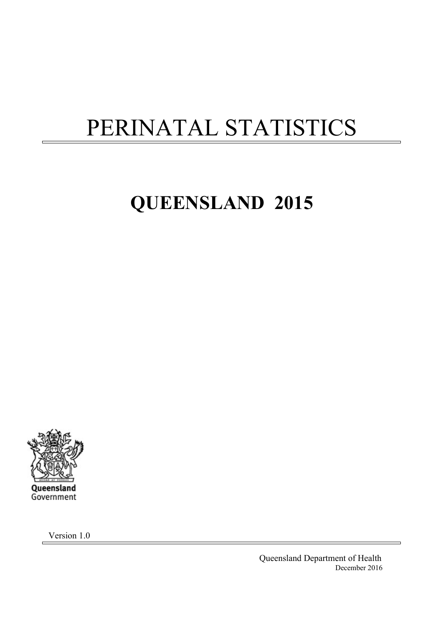# PERINATAL STATISTICS

# **QUEENSLAND 2015**



Version 1.0

Queensland Department of Health December 2016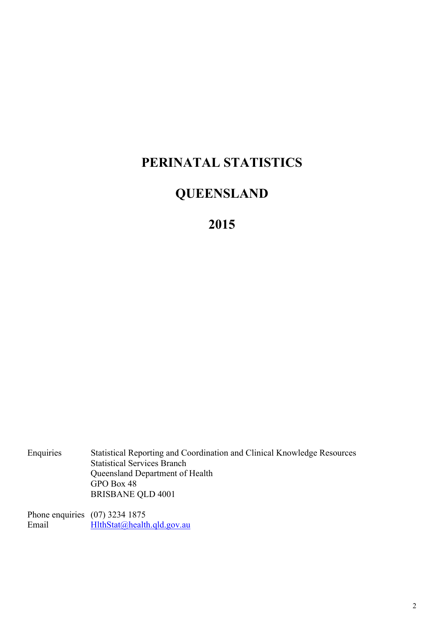## **PERINATAL STATISTICS**

## **QUEENSLAND**

**2015** 

Enquiries Statistical Reporting and Coordination and Clinical Knowledge Resources Statistical Services Branch Queensland Department of Health GPO Box 48 BRISBANE QLD 4001

Phone enquiries (07) 3234 1875<br>Email HlthStat@healt  $H$ lthStat@health.qld.gov.au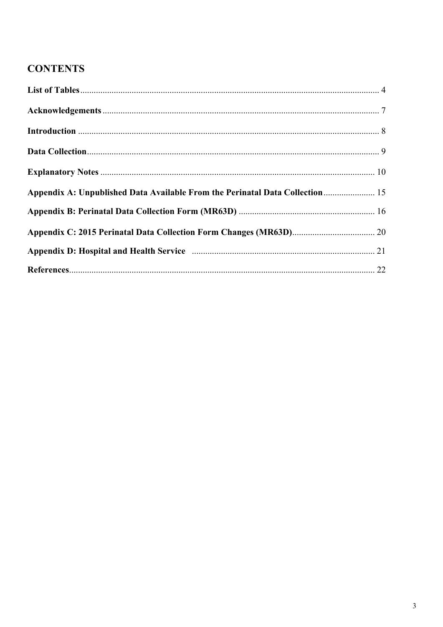### **CONTENTS**

| Appendix A: Unpublished Data Available From the Perinatal Data Collection  15 |  |
|-------------------------------------------------------------------------------|--|
|                                                                               |  |
|                                                                               |  |
|                                                                               |  |
|                                                                               |  |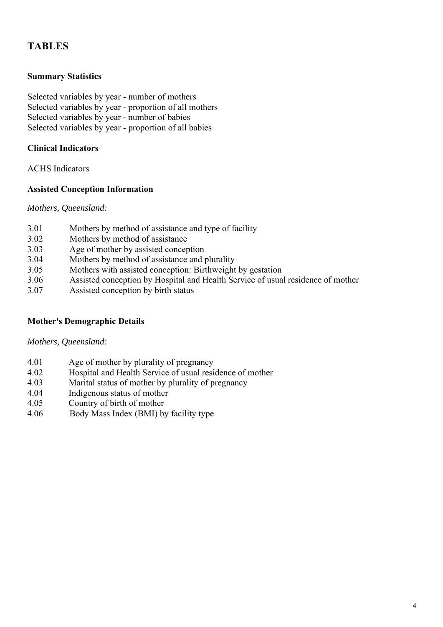### **TABLES**

#### **Summary Statistics**

Selected variables by year - number of mothers Selected variables by year - proportion of all mothers Selected variables by year - number of babies Selected variables by year - proportion of all babies

#### **Clinical Indicators**

ACHS Indicators

#### **Assisted Conception Information**

*Mothers, Queensland:* 

- 3.01 Mothers by method of assistance and type of facility
- 3.02 Mothers by method of assistance
- 3.03 Age of mother by assisted conception
- 3.04 Mothers by method of assistance and plurality
- 3.05 Mothers with assisted conception: Birthweight by gestation
- 3.06 Assisted conception by Hospital and Health Service of usual residence of mother
- 3.07 Assisted conception by birth status

### **Mother's Demographic Details**

*Mothers, Queensland:* 

- 4.01 Age of mother by plurality of pregnancy
- 4.02 Hospital and Health Service of usual residence of mother
- 4.03 Marital status of mother by plurality of pregnancy
- 4.04 Indigenous status of mother
- 4.05 Country of birth of mother
- 4.06 Body Mass Index (BMI) by facility type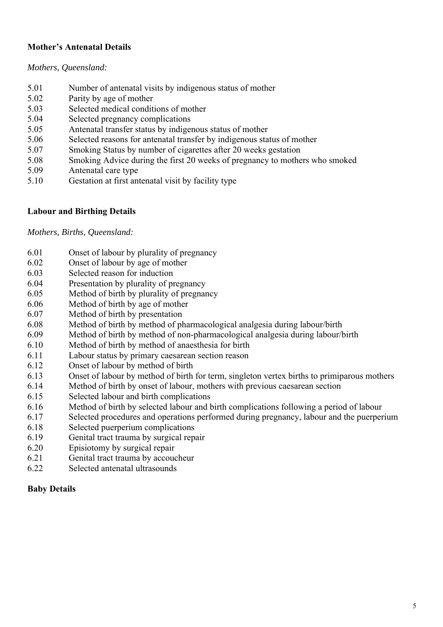### **Mother's Antenatal Details**

#### *Mothers, Queensland:*

- 5.01 Number of antenatal visits by indigenous status of mother
- 5.02 Parity by age of mother
- 5.03 Selected medical conditions of mother
- 5.04 Selected pregnancy complications
- 5.05 Antenatal transfer status by indigenous status of mother
- 5.06 Selected reasons for antenatal transfer by indigenous status of mother
- 5.07 Smoking Status by number of cigarettes after 20 weeks gestation
- 5.08 Smoking Advice during the first 20 weeks of pregnancy to mothers who smoked
- 5.09 Antenatal care type
- 5.10 Gestation at first antenatal visit by facility type

#### **Labour and Birthing Details**

#### *Mothers, Births, Queensland:*

- 6.01 Onset of labour by plurality of pregnancy
- 6.02 Onset of labour by age of mother
- 6.03 Selected reason for induction
- 6.04 Presentation by plurality of pregnancy
- 6.05 Method of birth by plurality of pregnancy
- 6.06 Method of birth by age of mother
- 6.07 Method of birth by presentation
- 6.08 Method of birth by method of pharmacological analgesia during labour/birth
- 6.09 Method of birth by method of non-pharmacological analgesia during labour/birth
- 6.10 Method of birth by method of anaesthesia for birth
- 6.11 Labour status by primary caesarean section reason
- 6.12 Onset of labour by method of birth
- 6.13 Onset of labour by method of birth for term, singleton vertex births to primiparous mothers
- 6.14 Method of birth by onset of labour, mothers with previous caesarean section
- 6.15 Selected labour and birth complications
- 6.16 Method of birth by selected labour and birth complications following a period of labour
- 6.17 Selected procedures and operations performed during pregnancy, labour and the puerperium
- 6.18 Selected puerperium complications
- 6.19 Genital tract trauma by surgical repair
- 6.20 Episiotomy by surgical repair
- 6.21 Genital tract trauma by accoucheur
- 6.22 Selected antenatal ultrasounds

#### **Baby Details**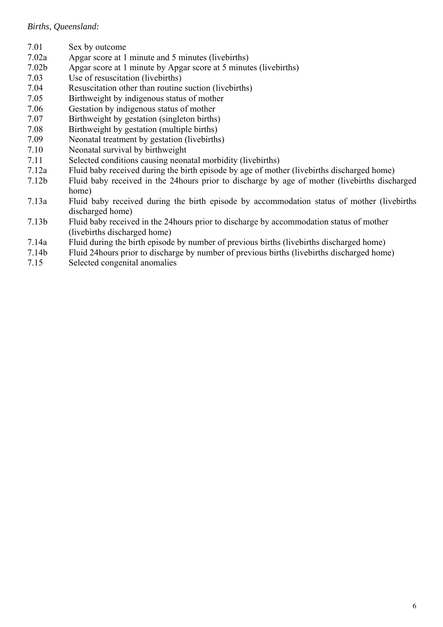#### *Births, Queensland:*

- 7.01 Sex by outcome
- 7.02a Apgar score at 1 minute and 5 minutes (livebirths)
- 7.02b Apgar score at 1 minute by Apgar score at 5 minutes (livebirths)
- 7.03 Use of resuscitation (livebirths)
- 7.04 Resuscitation other than routine suction (livebirths)
- 7.05 Birthweight by indigenous status of mother
- 7.06 Gestation by indigenous status of mother
- 7.07 Birthweight by gestation (singleton births)
- 7.08 Birthweight by gestation (multiple births)
- 7.09 Neonatal treatment by gestation (livebirths)
- 7.10 Neonatal survival by birthweight
- 7.11 Selected conditions causing neonatal morbidity (livebirths)
- 7.12a Fluid baby received during the birth episode by age of mother (livebirths discharged home)
- 7.12b Fluid baby received in the 24hours prior to discharge by age of mother (livebirths discharged home)
- 7.13a Fluid baby received during the birth episode by accommodation status of mother (livebirths discharged home)
- 7.13b Fluid baby received in the 24hours prior to discharge by accommodation status of mother (livebirths discharged home)
- 7.14a Fluid during the birth episode by number of previous births (livebirths discharged home)
- 7.14b Fluid 24hours prior to discharge by number of previous births (livebirths discharged home)
- 7.15 Selected congenital anomalies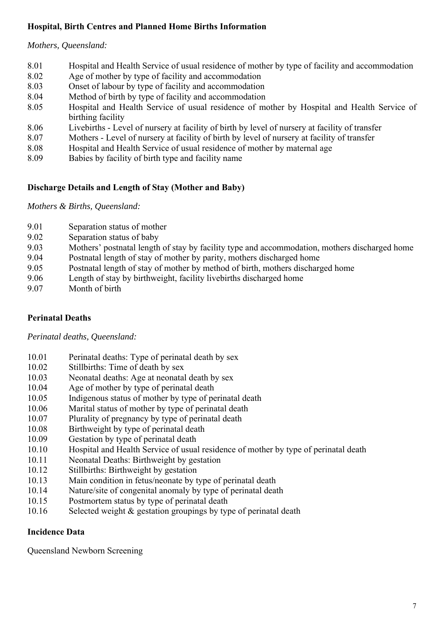### **Hospital, Birth Centres and Planned Home Births Information**

#### *Mothers, Queensland:*

| 8.01 | Hospital and Health Service of usual residence of mother by type of facility and accommodation |
|------|------------------------------------------------------------------------------------------------|
| 8.02 | Age of mother by type of facility and accommodation                                            |
| 8.03 | Onset of labour by type of facility and accommodation                                          |
| 8.04 | Method of birth by type of facility and accommodation                                          |
| 8.05 | Hospital and Health Service of usual residence of mother by Hospital and Health Service of     |
|      | birthing facility                                                                              |
| 8.06 | Livebirths - Level of nursery at facility of birth by level of nursery at facility of transfer |
| 8.07 | Mothers - Level of nursery at facility of birth by level of nursery at facility of transfer    |
| 8.08 | Hospital and Health Service of usual residence of mother by maternal age                       |
| 8.09 | Babies by facility of birth type and facility name                                             |

### **Discharge Details and Length of Stay (Mother and Baby)**

*Mothers & Births, Queensland:* 

- 9.01 Separation status of mother
- 9.02 Separation status of baby
- 9.03 Mothers' postnatal length of stay by facility type and accommodation, mothers discharged home
- 9.04 Postnatal length of stay of mother by parity, mothers discharged home
- 9.05 Postnatal length of stay of mother by method of birth, mothers discharged home
- 9.06 Length of stay by birthweight, facility livebirths discharged home
- 9.07 Month of birth

### **Perinatal Deaths**

*Perinatal deaths, Queensland:* 

- 10.01 Perinatal deaths: Type of perinatal death by sex
- 10.02 Stillbirths: Time of death by sex
- 10.03 Neonatal deaths: Age at neonatal death by sex
- 10.04 Age of mother by type of perinatal death
- 10.05 Indigenous status of mother by type of perinatal death
- 10.06 Marital status of mother by type of perinatal death
- 10.07 Plurality of pregnancy by type of perinatal death
- 10.08 Birthweight by type of perinatal death
- 10.09 Gestation by type of perinatal death
- 10.10 Hospital and Health Service of usual residence of mother by type of perinatal death
- 10.11 Neonatal Deaths: Birthweight by gestation
- 10.12 Stillbirths: Birthweight by gestation
- 10.13 Main condition in fetus/neonate by type of perinatal death
- 10.14 Nature/site of congenital anomaly by type of perinatal death
- 10.15 Postmortem status by type of perinatal death
- 10.16 Selected weight & gestation groupings by type of perinatal death

### **Incidence Data**

Queensland Newborn Screening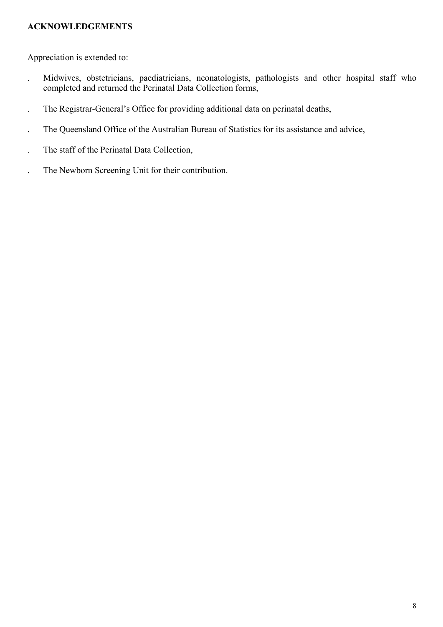#### **ACKNOWLEDGEMENTS**

Appreciation is extended to:

- . Midwives, obstetricians, paediatricians, neonatologists, pathologists and other hospital staff who completed and returned the Perinatal Data Collection forms,
- . The Registrar-General's Office for providing additional data on perinatal deaths,
- . The Queensland Office of the Australian Bureau of Statistics for its assistance and advice,
- . The staff of the Perinatal Data Collection,
- . The Newborn Screening Unit for their contribution.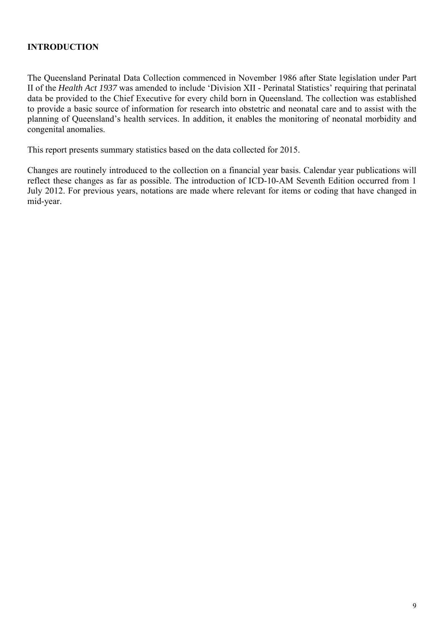### **INTRODUCTION**

The Queensland Perinatal Data Collection commenced in November 1986 after State legislation under Part II of the *Health Act 1937* was amended to include 'Division XII - Perinatal Statistics' requiring that perinatal data be provided to the Chief Executive for every child born in Queensland. The collection was established to provide a basic source of information for research into obstetric and neonatal care and to assist with the planning of Queensland's health services. In addition, it enables the monitoring of neonatal morbidity and congenital anomalies.

This report presents summary statistics based on the data collected for 2015.

Changes are routinely introduced to the collection on a financial year basis. Calendar year publications will reflect these changes as far as possible. The introduction of ICD-10-AM Seventh Edition occurred from 1 July 2012. For previous years, notations are made where relevant for items or coding that have changed in mid-year.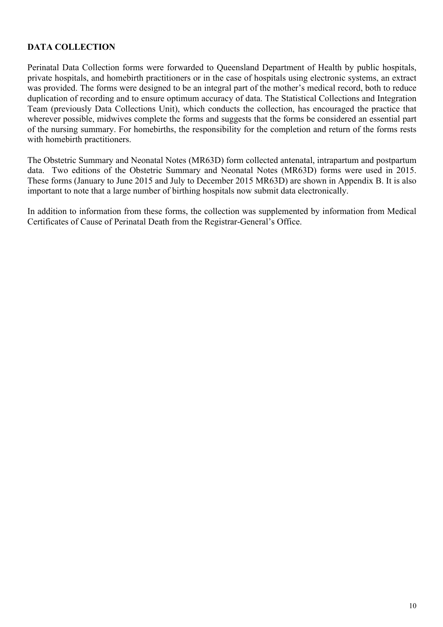### **DATA COLLECTION**

Perinatal Data Collection forms were forwarded to Queensland Department of Health by public hospitals, private hospitals, and homebirth practitioners or in the case of hospitals using electronic systems, an extract was provided. The forms were designed to be an integral part of the mother's medical record, both to reduce duplication of recording and to ensure optimum accuracy of data. The Statistical Collections and Integration Team (previously Data Collections Unit), which conducts the collection, has encouraged the practice that wherever possible, midwives complete the forms and suggests that the forms be considered an essential part of the nursing summary. For homebirths, the responsibility for the completion and return of the forms rests with homebirth practitioners.

The Obstetric Summary and Neonatal Notes (MR63D) form collected antenatal, intrapartum and postpartum data. Two editions of the Obstetric Summary and Neonatal Notes (MR63D) forms were used in 2015. These forms (January to June 2015 and July to December 2015 MR63D) are shown in Appendix B. It is also important to note that a large number of birthing hospitals now submit data electronically.

In addition to information from these forms, the collection was supplemented by information from Medical Certificates of Cause of Perinatal Death from the Registrar-General's Office.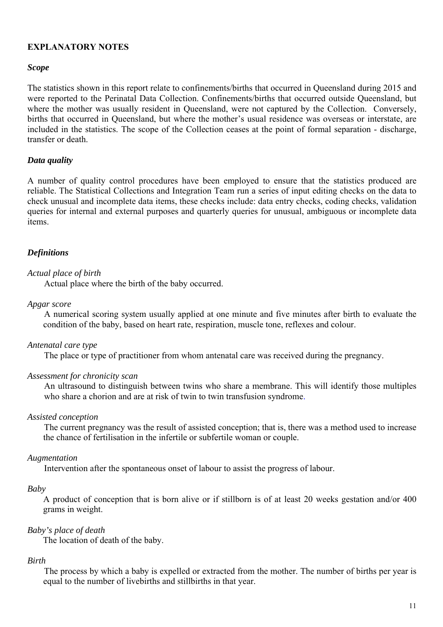#### **EXPLANATORY NOTES**

#### *Scope*

The statistics shown in this report relate to confinements/births that occurred in Queensland during 2015 and were reported to the Perinatal Data Collection. Confinements/births that occurred outside Queensland, but where the mother was usually resident in Queensland, were not captured by the Collection. Conversely, births that occurred in Queensland, but where the mother's usual residence was overseas or interstate, are included in the statistics. The scope of the Collection ceases at the point of formal separation - discharge, transfer or death.

#### *Data quality*

A number of quality control procedures have been employed to ensure that the statistics produced are reliable. The Statistical Collections and Integration Team run a series of input editing checks on the data to check unusual and incomplete data items, these checks include: data entry checks, coding checks, validation queries for internal and external purposes and quarterly queries for unusual, ambiguous or incomplete data items.

#### *Definitions*

#### *Actual place of birth*

Actual place where the birth of the baby occurred.

#### *Apgar score*

 A numerical scoring system usually applied at one minute and five minutes after birth to evaluate the condition of the baby, based on heart rate, respiration, muscle tone, reflexes and colour.

#### *Antenatal care type*

The place or type of practitioner from whom antenatal care was received during the pregnancy.

#### *Assessment for chronicity scan*

An ultrasound to distinguish between twins who share a membrane. This will identify those multiples who share a chorion and are at risk of twin to twin transfusion syndrome.

#### *Assisted conception*

 The current pregnancy was the result of assisted conception; that is, there was a method used to increase the chance of fertilisation in the infertile or subfertile woman or couple.

#### *Augmentation*

Intervention after the spontaneous onset of labour to assist the progress of labour.

#### *Baby*

A product of conception that is born alive or if stillborn is of at least 20 weeks gestation and/or 400 grams in weight.

#### *Baby's place of death*

The location of death of the baby.

#### *Birth*

 The process by which a baby is expelled or extracted from the mother. The number of births per year is equal to the number of livebirths and stillbirths in that year.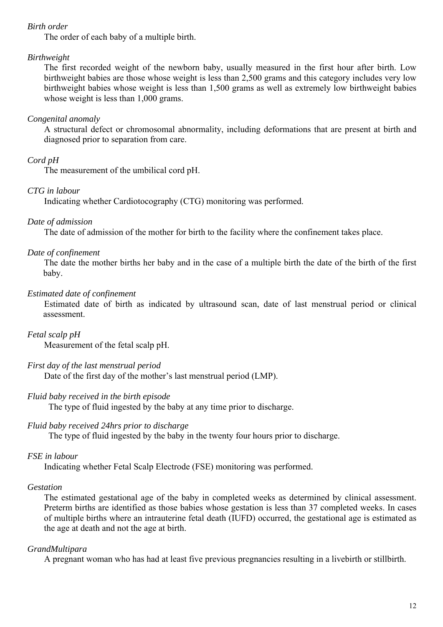#### *Birth order*

The order of each baby of a multiple birth.

#### *Birthweight*

 The first recorded weight of the newborn baby, usually measured in the first hour after birth. Low birthweight babies are those whose weight is less than 2,500 grams and this category includes very low birthweight babies whose weight is less than 1,500 grams as well as extremely low birthweight babies whose weight is less than 1,000 grams.

#### *Congenital anomaly*

 A structural defect or chromosomal abnormality, including deformations that are present at birth and diagnosed prior to separation from care.

### *Cord pH*

The measurement of the umbilical cord pH.

#### *CTG in labour*

Indicating whether Cardiotocography (CTG) monitoring was performed.

#### *Date of admission*

The date of admission of the mother for birth to the facility where the confinement takes place.

#### *Date of confinement*

 The date the mother births her baby and in the case of a multiple birth the date of the birth of the first baby.

#### *Estimated date of confinement*

 Estimated date of birth as indicated by ultrasound scan, date of last menstrual period or clinical assessment.

*Fetal scalp pH*  Measurement of the fetal scalp pH.

#### *First day of the last menstrual period*

Date of the first day of the mother's last menstrual period (LMP).

### *Fluid baby received in the birth episode*

The type of fluid ingested by the baby at any time prior to discharge.

#### *Fluid baby received 24hrs prior to discharge*

The type of fluid ingested by the baby in the twenty four hours prior to discharge.

#### *FSE in labour*

Indicating whether Fetal Scalp Electrode (FSE) monitoring was performed.

#### *Gestation*

 The estimated gestational age of the baby in completed weeks as determined by clinical assessment. Preterm births are identified as those babies whose gestation is less than 37 completed weeks. In cases of multiple births where an intrauterine fetal death (IUFD) occurred, the gestational age is estimated as the age at death and not the age at birth.

#### *GrandMultipara*

A pregnant woman who has had at least five previous pregnancies resulting in a livebirth or stillbirth.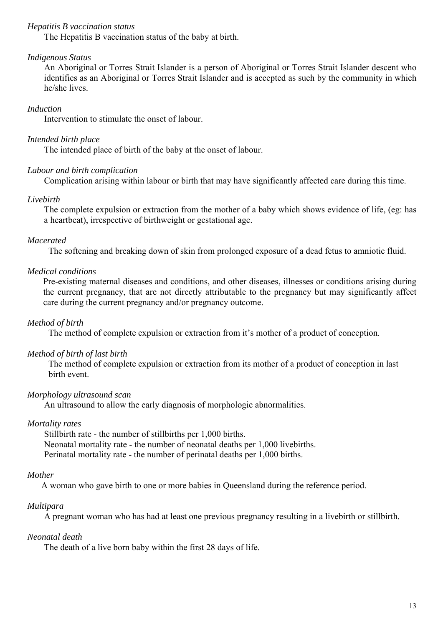#### *Hepatitis B vaccination status*

The Hepatitis B vaccination status of the baby at birth.

#### *Indigenous Status*

 An Aboriginal or Torres Strait Islander is a person of Aboriginal or Torres Strait Islander descent who identifies as an Aboriginal or Torres Strait Islander and is accepted as such by the community in which he/she lives.

#### *Induction*

Intervention to stimulate the onset of labour.

#### *Intended birth place*

The intended place of birth of the baby at the onset of labour.

#### *Labour and birth complication*

Complication arising within labour or birth that may have significantly affected care during this time.

#### *Livebirth*

 The complete expulsion or extraction from the mother of a baby which shows evidence of life, (eg: has a heartbeat), irrespective of birthweight or gestational age.

#### *Macerated*

The softening and breaking down of skin from prolonged exposure of a dead fetus to amniotic fluid.

#### *Medical conditions*

Pre-existing maternal diseases and conditions, and other diseases, illnesses or conditions arising during the current pregnancy, that are not directly attributable to the pregnancy but may significantly affect care during the current pregnancy and/or pregnancy outcome.

#### *Method of birth*

The method of complete expulsion or extraction from it's mother of a product of conception.

#### *Method of birth of last birth*

The method of complete expulsion or extraction from its mother of a product of conception in last birth event.

#### *Morphology ultrasound scan*

An ultrasound to allow the early diagnosis of morphologic abnormalities.

#### *Mortality rates*

 Stillbirth rate - the number of stillbirths per 1,000 births. Neonatal mortality rate - the number of neonatal deaths per 1,000 livebirths. Perinatal mortality rate - the number of perinatal deaths per 1,000 births.

#### *Mother*

A woman who gave birth to one or more babies in Queensland during the reference period.

#### *Multipara*

A pregnant woman who has had at least one previous pregnancy resulting in a livebirth or stillbirth.

#### *Neonatal death*

The death of a live born baby within the first 28 days of life.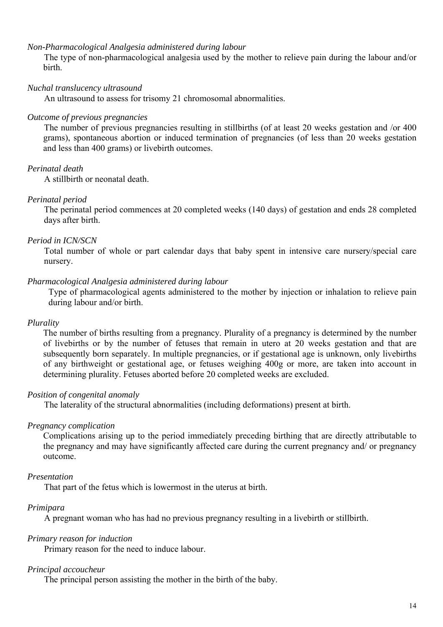#### *Non-Pharmacological Analgesia administered during labour*

 The type of non-pharmacological analgesia used by the mother to relieve pain during the labour and/or birth.

#### *Nuchal translucency ultrasound*

An ultrasound to assess for trisomy 21 chromosomal abnormalities.

#### *Outcome of previous pregnancies*

 The number of previous pregnancies resulting in stillbirths (of at least 20 weeks gestation and /or 400 grams), spontaneous abortion or induced termination of pregnancies (of less than 20 weeks gestation and less than 400 grams) or livebirth outcomes.

#### *Perinatal death*

A stillbirth or neonatal death.

#### *Perinatal period*

 The perinatal period commences at 20 completed weeks (140 days) of gestation and ends 28 completed days after birth.

#### *Period in ICN/SCN*

 Total number of whole or part calendar days that baby spent in intensive care nursery/special care nursery.

#### *Pharmacological Analgesia administered during labour*

Type of pharmacological agents administered to the mother by injection or inhalation to relieve pain during labour and/or birth.

#### *Plurality*

 The number of births resulting from a pregnancy. Plurality of a pregnancy is determined by the number of livebirths or by the number of fetuses that remain in utero at 20 weeks gestation and that are subsequently born separately. In multiple pregnancies, or if gestational age is unknown, only livebirths of any birthweight or gestational age, or fetuses weighing 400g or more, are taken into account in determining plurality. Fetuses aborted before 20 completed weeks are excluded.

#### *Position of congenital anomaly*

The laterality of the structural abnormalities (including deformations) present at birth.

#### *Pregnancy complication*

 Complications arising up to the period immediately preceding birthing that are directly attributable to the pregnancy and may have significantly affected care during the current pregnancy and/ or pregnancy outcome.

#### *Presentation*

That part of the fetus which is lowermost in the uterus at birth.

#### *Primipara*

A pregnant woman who has had no previous pregnancy resulting in a livebirth or stillbirth.

#### *Primary reason for induction*

Primary reason for the need to induce labour.

#### *Principal accoucheur*

The principal person assisting the mother in the birth of the baby.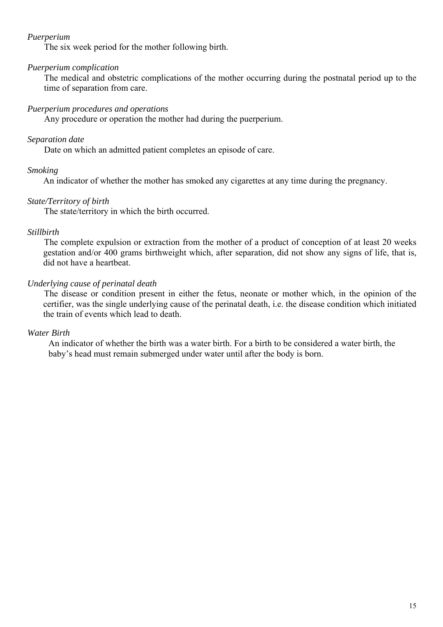#### *Puerperium*

The six week period for the mother following birth.

#### *Puerperium complication*

 The medical and obstetric complications of the mother occurring during the postnatal period up to the time of separation from care.

#### *Puerperium procedures and operations*

Any procedure or operation the mother had during the puerperium.

#### *Separation date*

Date on which an admitted patient completes an episode of care.

#### *Smoking*

An indicator of whether the mother has smoked any cigarettes at any time during the pregnancy.

#### *State/Territory of birth*

The state/territory in which the birth occurred.

#### *Stillbirth*

 The complete expulsion or extraction from the mother of a product of conception of at least 20 weeks gestation and/or 400 grams birthweight which, after separation, did not show any signs of life, that is, did not have a heartbeat.

#### *Underlying cause of perinatal death*

 The disease or condition present in either the fetus, neonate or mother which, in the opinion of the certifier, was the single underlying cause of the perinatal death, i.e. the disease condition which initiated the train of events which lead to death.

#### *Water Birth*

An indicator of whether the birth was a water birth. For a birth to be considered a water birth, the baby's head must remain submerged under water until after the body is born.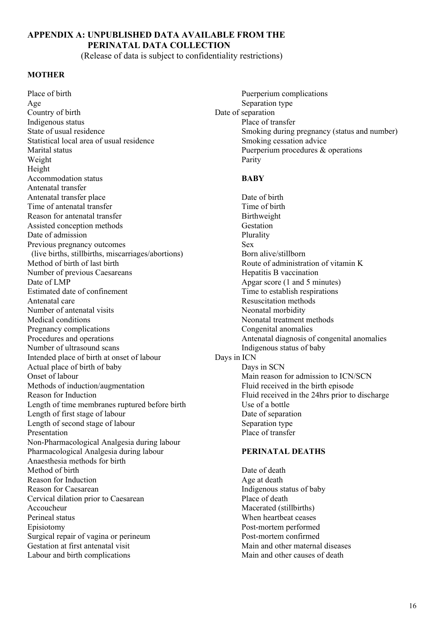### **APPENDIX A: UNPUBLISHED DATA AVAILABLE FROM THE PERINATAL DATA COLLECTION**

(Release of data is subject to confidentiality restrictions)

#### **MOTHER**

Place of birth Puerperium complications Age Separation type Country of birth Date of separation Indigenous status Place of transfer Statistical local area of usual residence Smoking cessation advice Marital status Puerperium procedures & operations Weight Parity Height Accommodation status **BABY** Antenatal transfer Antenatal transfer place Date of birth Time of antenatal transfer Time of birth Reason for antenatal transfer Birthweight Assisted conception methods Gestation Date of admission Plurality Previous pregnancy outcomes Sex (live births, stillbirths, miscarriages/abortions) Born alive/stillborn Method of birth of last birth  $\blacksquare$  Method of vitamin K Number of previous Caesareans **Hepatitis B** vaccination Date of LMP Apgar score (1 and 5 minutes) Estimated date of confinement Time to establish respirations Antenatal care and the contract of the Resuscitation methods are resulted as  $\mathbb{R}$  Resuscitation methods Number of antenatal visits Neonatal morbidity Medical conditions Neonatal treatment methods Pregnancy complications Congenital anomalies<br>Procedures and operations Antenatal diagnosis of Number of ultrasound scans **Indigenous** status of baby Intended place of birth at onset of labour Days in ICN Actual place of birth of baby Days in SCN Onset of labour Main reason for admission to ICN/SCN Methods of induction/augmentation Fluid received in the birth episode Reason for Induction Fluid received in the 24hrs prior to discharge Length of time membranes ruptured before birth Use of a bottle Length of first stage of labour Date of separation Length of second stage of labour Separation type Presentation Place of transfer Non-Pharmacological Analgesia during labour Pharmacological Analgesia during labour **PERINATAL DEATHS** Anaesthesia methods for birth Method of birth Date of death Reason for Induction Age at death Reason for Caesarean **Indigenous** status of baby Cervical dilation prior to Caesarean Place of death Accoucheur Macerated (stillbirths) Perineal status When heartbeat ceases Episiotomy Post-mortem performed Surgical repair of vagina or perineum Post-mortem confirmed Gestation at first antenatal visit Main and other maternal diseases Labour and birth complications and  $\mathbb{R}$  Main and other causes of death

State of usual residence Smoking during pregnancy (status and number)

Antenatal diagnosis of congenital anomalies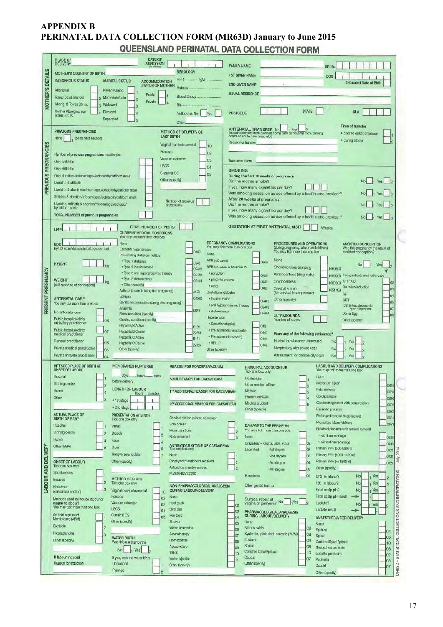## **APPENDIX B PERINATAL DATA COLLECTION FORM (MR63D) January to June 2015<br>QUEENSLAND PERINATAL DATA COLLECTION FORM**

|                            | <b>DATE OF</b><br><b>PLACE OF</b><br><b>ADMISSION</b><br>DELIVERY                                                                              |                                                                                                                            |                                                                                                                                                                                                  |
|----------------------------|------------------------------------------------------------------------------------------------------------------------------------------------|----------------------------------------------------------------------------------------------------------------------------|--------------------------------------------------------------------------------------------------------------------------------------------------------------------------------------------------|
|                            | <b>MOTHER'S COUNTRY OF BIRTH</b>                                                                                                               | <b>SEROLOGY</b>                                                                                                            | <b>FAMILY NAME</b><br><b>UR No</b>                                                                                                                                                               |
| <b>MOTHER'S DETAILS</b>    | <b>INDIGENOUS STATUS</b><br><b>MARITAL STATUS</b><br><b>ACCOMMODATION</b>                                                                      |                                                                                                                            | <b>1ST GIVEN NAME</b><br>DOB<br><b>Estimated Date of Birth</b>                                                                                                                                   |
|                            | <b>STATUS OF MOTHER</b><br>Aboriginal<br>Never Married                                                                                         | Rubella                                                                                                                    | 2ND GIVEN NAME<br><b>USUAL RESIDENCE</b>                                                                                                                                                         |
|                            | Public<br>Torres Strait Islander<br>Married/defacto<br>Private                                                                                 | Blood Group                                                                                                                |                                                                                                                                                                                                  |
|                            | Aborig. & Torres Str. Is.<br>Widowed<br>ā<br>Neither Aboriginal nor<br>Divorced                                                                | Rh.,                                                                                                                       | <b>STATE</b><br>SLA<br><b>POSTCODE</b>                                                                                                                                                           |
|                            | Torres Str. Is.<br>Separated                                                                                                                   | Antibodies No<br>Yes<br>Other                                                                                              |                                                                                                                                                                                                  |
|                            | <b>PREVIOUS PREGNANCIES</b>                                                                                                                    | METHOD OF DELIVERY OF                                                                                                      | Time of transfer<br><b>ANTENATAL TRANSFER No</b><br>(include transfers from planned home birth to hospital, from birthing<br>· prior to onset of labour                                          |
|                            | None<br>(go to next section)                                                                                                                   | <b>LAST BIRTH</b>                                                                                                          | centre to acute care areas etc.)<br>· during labour<br>Reason for transfer                                                                                                                       |
|                            |                                                                                                                                                | Vaginal non-instrumental<br>10<br>Forceps<br>O <sub>2</sub>                                                                |                                                                                                                                                                                                  |
|                            | Number of previous pregnancies resulting in:<br>Only livebirths                                                                                | Vacuum extractor<br>03                                                                                                     | Transferred from                                                                                                                                                                                 |
| PREVIOUS PREGNANCIES       | Only stilibirths                                                                                                                               | <b>LSCS</b><br>04                                                                                                          |                                                                                                                                                                                                  |
|                            | Only abortions/miscarriages/ectopic/hydatiform mole<br>Livebirth & stilibirth                                                                  | <b>SMOKING</b><br>Classical CS<br>05<br>During the first 20 weeks of pregnancy<br>Other (specify)<br>Did the mother smoke? |                                                                                                                                                                                                  |
|                            | Livebirth & abortion/miscarriages/ectopic/hydatiform mole                                                                                      |                                                                                                                            | If yes, how many cigarettes per day?                                                                                                                                                             |
|                            | Stillbirth & abortion/miscarriages/ectopic/hydatiform mole.                                                                                    | Number of previous                                                                                                         | Was smoking cessation advice offered by a health care provider?<br><b>Yes</b><br>After 20 weeks of pregnancy                                                                                     |
|                            | Livebirth, stillbirth & abortlor/miscarriages/ectopic/<br>hydatiform mole                                                                      | caesareans                                                                                                                 | Did the mother smoke?<br>Yes<br>If yes, how many cigarettes per day?                                                                                                                             |
|                            | <b>TOTAL NUMBER of previous pregnancies</b>                                                                                                    |                                                                                                                            | Was smoking cessation advice offered by a health care provider?<br>Yes                                                                                                                           |
|                            | TOTAL NUMBER OF VISITS<br>LMP                                                                                                                  |                                                                                                                            | <b>GESTATION AT FIRST ANTENATAL VISIT</b><br>Weeks                                                                                                                                               |
|                            | <b>CURRENT MEDICAL CONDITIONS</b><br>You may tick more than one box.                                                                           |                                                                                                                            |                                                                                                                                                                                                  |
|                            | None<br><b>EDC</b><br>by US scan/dates/clinical assessment<br>Essential hypertension                                                           | PREGNANCY COMPLICATIONS<br>You may fick more than one box<br>0100                                                          | PROCEDURES AND OPERATIONS<br><b>ASSISTED CONCEPTION</b><br>(during pregnancy, labour and delivery)<br>Was this pregnancy the result of<br>You may tick more than one box<br>assisted conception? |
|                            | Pre-existing diabetes mellitus<br>· Type 1 diabetes                                                                                            | None<br>APH (<20 waeks)                                                                                                    | None                                                                                                                                                                                             |
|                            | <b>HEIGHT</b><br>cm<br>· Type 2 insulin treated                                                                                                | O240<br>APH (<20 weeks or later) due to<br>02412                                                                           | O209<br>No<br>Yes<br>Chorionic villus sampling<br>1660300                                                                                                                                        |
|                            | · Type 2 oral hypoglycaemic therapy<br>· Type 2 diet/exercise<br><b>WEIGHT</b>                                                                 | · abruption<br>O2413<br>· placenta praevia<br>O2414                                                                        | Amniocentesis (diagnostic)<br>O459<br>1660000 If yes, indicate method/s used                                                                                                                     |
|                            | · Other (specify)<br>(self-reported at conception)<br>Asthma (treated during this pregnancy)                                                   | * other                                                                                                                    | Cordocentesis<br>AIH / AID<br>O441<br>1660600<br>02<br>Ovulation induction<br>O469<br>Cervical suture<br>03<br>1651100                                                                           |
|                            | Epilepsy<br><b>ANTENATAL CARE</b>                                                                                                              | 4459<br>Gestational diabetes<br>G4090<br>· Insulin treated                                                                 | (for cervical incompetence)<br>IVF<br>04<br>Other (specify)<br><b>GIFT</b><br>O2442                                                                                                              |
| PRESENT PREGNANCY          | Genital herpes (active during this pregnancy)<br>You may tick more than one box<br>Anaemia                                                     | · oral hypoglycaamic therapy<br>D649                                                                                       | 05<br>ICSI (intracytoplasmic<br>O2443<br>07<br>sperm injection)                                                                                                                                  |
|                            | No antenatal care<br>Renal condition (specify)<br>Public hospital/clinic<br>Cardiac condition (specify)<br>06                                  | · diet/exercise<br><b>Hypertension</b>                                                                                     | O2444<br>Donor Egg<br><b>OB</b><br><b>ULTRASOUNDS</b><br>Number of scans<br>Other (specify)                                                                                                      |
|                            | midwifery practitioner<br>Hepatitis B Active<br>Public hospital/clinic<br><b>Hepatitis B Carrier</b>                                           | · Gestational (mid)<br><b>B169</b><br>· Pre eclampsia (moderate)                                                           | 013                                                                                                                                                                                              |
|                            | medical practitioner<br>Hepatitis C Activu<br>General practitioner                                                                             | Z2251<br>* Pre eclampsia (severe)<br><b>B171</b>                                                                           | 0140<br>Were any of the following performed?<br>0141<br>Nuchal translucency ultrasound                                                                                                           |
|                            | 08<br><b>Hepatitis C Carrier</b><br>Private medical practitioner<br>Other (specify)<br>03                                                      | · HELLP<br>22252<br>Other (specify)                                                                                        | No<br>Yes<br>O142<br>Morphology ultrasound scan<br>No<br>Yes                                                                                                                                     |
|                            | Private midwife practitioner<br>04                                                                                                             |                                                                                                                            | Assessment for chorionicity scan<br>No                                                                                                                                                           |
|                            | <b>INTENDED PLACE OF BIRTH AT</b><br><b>MEMBRANES RUPTURED</b><br><b>ONSET OF LABOUR</b>                                                       | <b>REASON FOR FORCEPS/VACUUM</b>                                                                                           | LABOUR AND DELIVERY COMPLICATIONS<br>PRINCIPAL ACCOUCHEUR<br>You may tick more than one box<br><b>Tick one box only</b>                                                                          |
|                            | days.<br>hours mins<br>Hospital<br>before delivery                                                                                             | MAIN REASON FOR CAESAREAN                                                                                                  | None<br>Obstetrician                                                                                                                                                                             |
|                            | Birthing centre<br><b>LENGTH OF LABOUR</b><br>Home                                                                                             | 1 <sup>51</sup> ADDITIONAL REASON FOR CAESAREAN                                                                            | Meconium liquor<br>Other medical officer<br>Fetal distress<br>Michwite<br><b>D689</b>                                                                                                            |
|                            | E<br>hours<br>minutes<br>Other<br>8<br>· 1st stage                                                                                             |                                                                                                                            | В<br>Cord prolapse<br>Student midwife<br>0690                                                                                                                                                    |
|                            | · 2nd stage                                                                                                                                    | 2 <sup>NO</sup> ADDITIONAL REASON FOR CAESAREAN                                                                            | Cord entanglement with compression<br>Medical student<br>5<br>0692<br>Other (specify)<br>Failure to progress<br>0622                                                                             |
|                            | <b>ACTUAL PLACE OF</b><br>PRESENTATION AT BIRTH<br><b>BIRTH OF BABY</b><br>Tick one box only                                                   | Cervical diation prior to cassarean                                                                                        | Prolonged second stage (active)<br>0631                                                                                                                                                          |
|                            | Hospital<br>Vertex                                                                                                                             | 3cm or less:<br>More than 3cm                                                                                              | Precipitate labour/delivery<br>0623<br>DAMAGE TO THE PERINEUM<br>Retained placenta with manual removal<br>You may tick more than one box.                                                        |
|                            | <b>Birthing centre</b><br>Þ<br><b>Breech</b><br>Home<br>Face<br>A                                                                              | Not measured                                                                                                               | 2<br>· with haemonhage<br>None<br>0720                                                                                                                                                           |
|                            | Other (BBA)<br><b>Brow</b><br>8                                                                                                                | <b>ANTIBIOTICS AT TIME OF CAESAREAN</b><br>Tick one bax only                                                               | · without haemorrhage<br>02<br>Graze/tear - vagina, labia, vulva<br>O730<br>Primary PPH (500-999ml)<br>02<br>Lacerated<br>-1st degree<br>0721                                                    |
|                            | Transverse/shoulder                                                                                                                            | None<br>Prophylactic antibiotics received                                                                                  | 201<br>Primary PPH (1000-1499ml)<br>-2nd degree<br>03<br>0/21<br>yin<br>Primary PPH (=>1500ml)                                                                                                   |
|                            | Other (specify)<br><b>ONSET OF LABOUR</b><br>Tick one box only                                                                                 | Antibiotics already received                                                                                               | 04<br>-3rd degree<br>0721<br>Other (specify)<br>ΙR<br>05<br>-4th degree<br>Đ                                                                                                                     |
|                            | Spontaneous<br><b>METHOD OF BIRTH</b><br>Induced                                                                                               | <b>PLACENTA/ CORD</b>                                                                                                      | Episiotomy<br>l06<br>No<br>Yes<br>CTG in labour?                                                                                                                                                 |
| <b>LABOUR AND DELIVERY</b> | Tick one box only<br>No labour<br>3<br>Vaginal non-instrumental                                                                                | NON-PHARMACOLOGICAL ANALGESIA<br><b>DURING LABOUR/DELIVERY</b>                                                             | Yes<br>FSE in labour?<br>No<br>Other genital trauma<br>Fetal scalp pH?<br>No<br>Yes                                                                                                              |
|                            | (caesarean section)<br>10<br>Forceps<br>02<br>Methods used to induce labour or                                                                 | None                                                                                                                       | COLLECTIONS AND INTEGRATION<br>Fetal scalp pH result<br>Surgical repair of                                                                                                                       |
|                            | Vacuum extractor<br>augment labour?<br><b>Heat pack</b><br>O <sub>3</sub><br>You may tick more than one box<br><b>LSCS</b><br>Birth ball<br>04 |                                                                                                                            | vagina or perineum? No<br>Lactate?<br>No<br>Yes<br>02<br><b>Lactate result</b><br>03                                                                                                             |
|                            | Artificial rupture of<br>Classical CS<br>05<br>Membranes (ARM)                                                                                 | Massage                                                                                                                    | PHARMACOLOGICAL ANALGESIA<br><b>DURING LABOUR/DELIVERY</b><br>lo <sub>4</sub><br>ANAESTHESIA FOR DELIVERY                                                                                        |
|                            | Other (specify)<br><b>Oxytocin</b>                                                                                                             | Shower<br>Water Immersion                                                                                                  | None.<br>05<br>Nune<br>Mitrous oxide<br>02<br>O <sub>6</sub><br>Epidural<br>O4                                                                                                                   |
|                            | Prostaglandins<br>э<br><b>WATER BIRTH</b><br>Other (specify)                                                                                   | Aromatherapy<br>Horneopathy                                                                                                | Systemic opioid (incl. narcotic (IM/IV)<br>08<br>Jo7<br>Spinal<br>05<br>Epidural<br>04                                                                                                           |
|                            | Was this a water birth?<br>No<br>Yes                                                                                                           | Acupuncture                                                                                                                | C <sub>8</sub><br>Combined Spinal-Epidural<br>10<br>Spinal<br>05<br>09<br>General Anaesthetic<br>06                                                                                              |
|                            | If labour induced<br>If yes, was the water birth                                                                                               | <b>TENS</b><br>Water Injection                                                                                             | Combined Spinal-Epidural<br>10<br>10<br>Local to perineum<br>02<br>Caudal<br>07<br>Pudendal<br>11<br>03                                                                                          |
|                            | Reason for induction<br>Unplanned<br>Planned                                                                                                   | Other (specify)                                                                                                            | R63D - STATISTICAL<br>Other (specify)<br>Caudal<br>07                                                                                                                                            |
|                            |                                                                                                                                                |                                                                                                                            | Other Isoacify                                                                                                                                                                                   |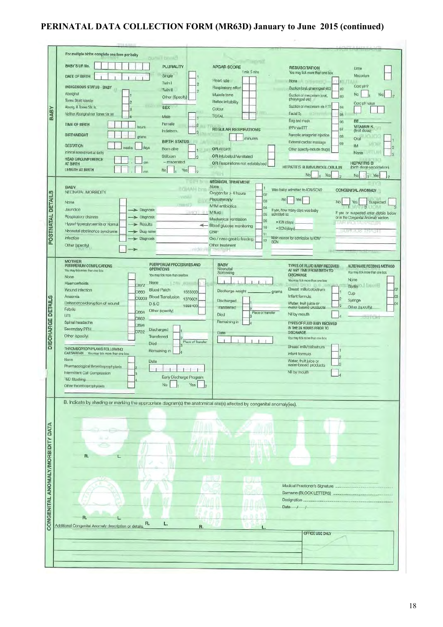### **PERINATAL DATA COLLECTION FORM (MR63D) January to June 2015 (continued)**

|                                   | For multiple births complete one form per baby                                                                                                                           |
|-----------------------------------|--------------------------------------------------------------------------------------------------------------------------------------------------------------------------|
|                                   | <b>Burnet Limited</b><br><b>SECTION</b><br><b>BABY'S UR No.</b>                                                                                                          |
|                                   | PLURALITY<br><b>APGAR SCORE</b><br><b>RESUSCITATION</b><br>Urine<br>1 min 5 mins<br>You may tick more than one box                                                       |
|                                   | Single<br>Meconium<br>DATE OF BIRTH<br>Heart rate                                                                                                                        |
|                                   | None In pitter the<br>Twin I<br>Cord pH?<br><b>INDIGENOUS STATUS - BABY</b><br>Respiratory effort<br>Suction (oral, pharyngeal etc)<br>02 <sub>z</sub>                   |
|                                   | Twin II<br>2<br>Aboriginal<br>No<br>Muscle tone<br>Suction of meconium (oral,<br>Yes<br>03                                                                               |
|                                   | Other (Specify)<br>pharyngeal etc)<br>Torres Strait Islander<br>Reflex initability<br>Cord pH value                                                                      |
|                                   | <b>FELLE</b><br>Suction of meconium via ETT<br>Abong. & Torres Str. Is.<br><b>SEX</b><br>04<br>Colour                                                                    |
| <b>BABY</b>                       | Facial O <sub>2</sub><br>Neither Aboriginal nor Torres Str. Isl.<br><b>LOTTUTING</b><br>05<br><b>TOTAL</b><br>Male                                                       |
|                                   | Bag and mask<br>BE.<br>60<br>Female<br><b>TIME OF BIRTH</b><br>2<br><b>VITAMIN K</b><br>hours<br>IPPV via ETT                                                            |
|                                   | 07<br><b>REGULAR RESPIRATIONS</b><br>(first dose)<br>Indeterm.<br><sub>3</sub><br><b>BIRTHWEIGHT</b><br>Narcotic antagonist injection                                    |
|                                   | 08<br>orains<br>minutes<br>Oral<br><b>BIRTH STATUS</b><br>External cardiac massage<br>09                                                                                 |
|                                   | MDR.<br><b>GESTATION</b><br><b>IM</b><br>weeks<br>days<br>12<br>Born alive<br>OR At birth<br>Other (specify-include drugs)                                               |
|                                   | (clinical assessment at birth)<br>None in the North State<br>ĸ<br>Stillborn<br>OR Intubated/Ventilated<br>ø<br><b>HEAD CIRCUMFERENCE</b>                                 |
|                                   | - macerated<br><b>HEPATITIS B</b><br>OR Respirations not established<br>AT BIRTH<br><b>HEPATITIS B IMMUNOGLOBULIN</b><br>(birth dose vaccination)                        |
|                                   | <b>LENGTH AT BIRTH</b><br>No<br>Yes<br>No.<br>Yes                                                                                                                        |
|                                   | N <sub>D</sub><br>Yes<br>NEONATAL TREATMENT<br>$= +100$                                                                                                                  |
|                                   | None<br><b>BABY</b><br>COMAN bns<br>Was baby admitted to ICN/SCN?<br><b>CONGENITAL ANOMALY</b>                                                                           |
| POSTNATAL DETAILS                 | NEONATAL MORBIDITY<br>Oxygen for > 4 hours<br>02                                                                                                                         |
|                                   | Phototherapy<br><b>No</b><br>Yes<br>03<br>No<br>Suspected<br>Yes<br>None<br>$T = T - T$<br><b>IV/IM antibiotics</b>                                                      |
|                                   | $\circ$<br>04<br>Jaundice<br>Diagnosis<br>If yes, how many days was baby<br>$H(1) = H$ M fluid<br>If yes or suspected enter details below<br>admitted to:<br>05          |
|                                   | Respiratory distress<br>$\rightarrow$ Diagnosis<br>or in the Congenital Anomaly section.<br>Mechanical ventilation<br>O6<br>· ICN (days)                                 |
|                                   | <b>AND INVESTIGATION</b><br>Hypo/Hyperglycaemia or Normal<br>$\blacktriangleright$ Results<br>- Blood glucose monitoring<br>10<br>· SCN (days)                           |
|                                   | Neonatal abstinence syndrome<br><b>LUALIC TRESH</b><br>> Drug name<br>CPAP<br>11<br>Main reason for admission to ICN/                                                    |
|                                   | Infection<br>> Diagnosis<br>Oro / naso gastric feeding<br>12<br><b>SCN</b><br>Other treatment<br>Other (specify)                                                         |
|                                   | <b>ITICM/THE</b><br><b>1916</b> PULL                                                                                                                                     |
|                                   | <b>MOTHER</b>                                                                                                                                                            |
|                                   | PUERPERIUM PROCEDURES AND<br><b>BABY</b><br>PUERPERIUM COMPLICATIONS<br>TYPES OF FLUID BABY RECEIVED<br><b>ALTERNATE FEEDING METHOD</b><br><b>OPERATIONS</b><br>Neonatal |
|                                   | AT ANY TIME FROM BIRTH TO<br>You may tick more than one box<br>You may tick more than one box<br>Screening<br><b>DISCHARGE</b><br>You may fick more than one box<br>None |
|                                   | None<br>You may tick more than one box<br>None<br>Haemorrhoids<br>1.0Min. aspect                                                                                         |
|                                   | 0872<br>Bottle <b>Manuf</b><br>Breast milk/colostrum<br>Wound infection<br><b>Blood Patch</b><br>Discharge weight<br>0860<br>1823300<br>grams                            |
|                                   | Cup<br>Anaemia<br>Infant formula<br><b>Blood Transfusion</b><br>03<br>O9903<br>1370601                                                                                   |
|                                   | Syringe<br>Discharged<br>Dehiscence/disruption of wound<br>Water, fruit juice or<br>D & C<br>1656400<br>Other (specify)<br>Transferred<br>water-based products           |
|                                   | Febrile<br>Other (specify)<br>O864<br>Place of transfer<br>Nil by mouth<br>Died<br>UTI                                                                                   |
|                                   | コミヒノヒ<br>O862<br>Remaining in<br>Spinal headache<br>TYPES OF FLUID BABY RECEIVED                                                                                         |
|                                   | <b>OB94</b><br>IN THE 24 HOURS PRIOR TO<br>Secondary PPH<br>Discharged<br>0722                                                                                           |
|                                   | DISCHARGE.<br>Date<br>Other (specify)<br>Transferred<br>You may fick more than con box                                                                                   |
| <b>DISCHARGE DETAILS</b>          | Place of Transfer<br><b>Died</b><br>Breast milk/colostrum                                                                                                                |
|                                   | THROMBOPROPHYLAXIS FOLLOWING<br>Remaining in<br>CAESAREAN You may tick more than one box<br>Infant formula                                                               |
|                                   | None<br>Water, fruit juice or<br>Date                                                                                                                                    |
|                                   | water-based products<br>Pharmacological thromboprophylaxis<br>Nil by mouth                                                                                               |
|                                   | Intermittent Call Compression<br>$-4$<br>Early Discharge Program<br><b>TED Stocking</b>                                                                                  |
|                                   | No.<br>Yes<br>Other thromboprophylaxis                                                                                                                                   |
|                                   |                                                                                                                                                                          |
|                                   | B. Indicate by shading or marking the appropriate diagram(s) the anatomical site(s) affected by congenital anomaly(ies).                                                 |
|                                   |                                                                                                                                                                          |
|                                   |                                                                                                                                                                          |
|                                   |                                                                                                                                                                          |
|                                   |                                                                                                                                                                          |
|                                   | hi sal                                                                                                                                                                   |
|                                   |                                                                                                                                                                          |
|                                   | R.<br>L.                                                                                                                                                                 |
|                                   |                                                                                                                                                                          |
|                                   |                                                                                                                                                                          |
|                                   | $1 - 4$                                                                                                                                                                  |
|                                   |                                                                                                                                                                          |
|                                   |                                                                                                                                                                          |
|                                   |                                                                                                                                                                          |
| CONGENITAL ANOMALY/MORBIDITY DATA | Date / $/$                                                                                                                                                               |
|                                   | 0.010<br>R.                                                                                                                                                              |
|                                   | R.<br>L.<br>Additional Congenital Anomaly description or details.<br>R.                                                                                                  |
|                                   | OFFICE USE ONLY                                                                                                                                                          |
|                                   |                                                                                                                                                                          |
|                                   |                                                                                                                                                                          |
|                                   |                                                                                                                                                                          |
|                                   |                                                                                                                                                                          |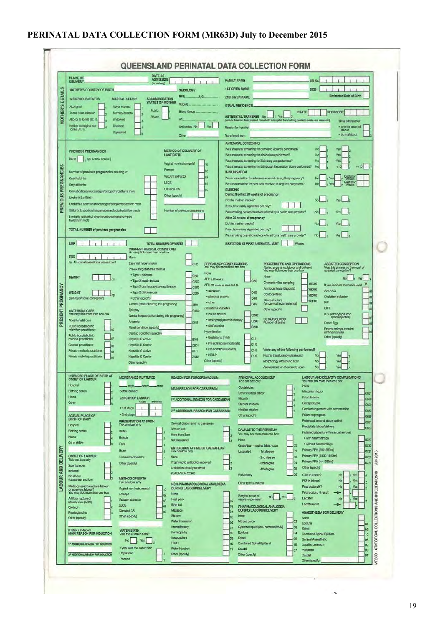### **PERINATAL DATA COLLECTION FORM (MR63D) July to December 2015**

|                                              | DATE OF<br>ADMISSION<br><b>PLACE OF</b><br><b>DELIVERY</b><br>(for delivery)                                                                                                                                                                                                                                                                                                                                                                                                                                                                                                                                                                                                                                                                                                                                                                                                                                                                                                                                                                                                                                                                     |                                                                                                                                                                                                                                                                                                                                                                                                                                                                                                                                                                                                                                | <b>FAMILY NAME</b><br>UR No.                                                                                                                                                                                                                                                                                                                                                                                                                                                                                                                                                                                                                                                                                                                                                                                                                                                                                                                                                                                                                                                                                                                                                                                                                                                                                                                                                                                                                                                                                                                                                                                                                                                                                                                                                                                                   |
|----------------------------------------------|--------------------------------------------------------------------------------------------------------------------------------------------------------------------------------------------------------------------------------------------------------------------------------------------------------------------------------------------------------------------------------------------------------------------------------------------------------------------------------------------------------------------------------------------------------------------------------------------------------------------------------------------------------------------------------------------------------------------------------------------------------------------------------------------------------------------------------------------------------------------------------------------------------------------------------------------------------------------------------------------------------------------------------------------------------------------------------------------------------------------------------------------------|--------------------------------------------------------------------------------------------------------------------------------------------------------------------------------------------------------------------------------------------------------------------------------------------------------------------------------------------------------------------------------------------------------------------------------------------------------------------------------------------------------------------------------------------------------------------------------------------------------------------------------|--------------------------------------------------------------------------------------------------------------------------------------------------------------------------------------------------------------------------------------------------------------------------------------------------------------------------------------------------------------------------------------------------------------------------------------------------------------------------------------------------------------------------------------------------------------------------------------------------------------------------------------------------------------------------------------------------------------------------------------------------------------------------------------------------------------------------------------------------------------------------------------------------------------------------------------------------------------------------------------------------------------------------------------------------------------------------------------------------------------------------------------------------------------------------------------------------------------------------------------------------------------------------------------------------------------------------------------------------------------------------------------------------------------------------------------------------------------------------------------------------------------------------------------------------------------------------------------------------------------------------------------------------------------------------------------------------------------------------------------------------------------------------------------------------------------------------------|
| $\sigma$<br><b>DETAIL</b><br><b>MOTHER'S</b> | <b>MOTHER'S COUNTRY OF BIRTH</b><br><b>ACCOMMODATION</b><br><b>INDIGENOUS STATUS</b><br><b>MARITAL STATUS</b><br><b>STATUS OF MOTHER</b><br>Aboniginal<br>Never Married<br>Public.<br>Torres Strait Islander<br>Married/defacto<br>Private<br>Aborig. & Torres Str. Is.<br>Widowed<br>Neither Aboriginal nor<br>Divorced<br>Tomes Str. fs.<br>Separated                                                                                                                                                                                                                                                                                                                                                                                                                                                                                                                                                                                                                                                                                                                                                                                          | <b>SEROLOGY</b><br>.igG.<br>RPR<br>Rubella<br><b>Blood Group</b><br><b>Bh</b><br>Antibodies No<br>Yes<br>Other                                                                                                                                                                                                                                                                                                                                                                                                                                                                                                                 | <b>1ST GIVEN NAME</b><br><b>DOB</b><br><b>Estimated Date of Birth</b><br>2ND GIVEN NAME<br><b>USUAL RESIDENCI</b><br><b>POSTCODE</b><br><b>STATE</b><br>ANTENATAL TRANSFER No<br>de transfers from planned home birth to hospital, from birthing centre to acute care annus etc.<br>Time of transfer<br>· prior to onset of<br>Reason for transfe<br>igbou<br>· during labour<br><b>Transferred from</b>                                                                                                                                                                                                                                                                                                                                                                                                                                                                                                                                                                                                                                                                                                                                                                                                                                                                                                                                                                                                                                                                                                                                                                                                                                                                                                                                                                                                                       |
| PREVIOUS PREGNANCIES                         | <b>PREVIOUS PREGNANCIES</b><br>(go to next section)<br>None<br>Number of previous pregnancies resulting in:<br><b>Crity livebirths</b><br>Only stilbirths<br>Only abortions/miscarriages/ectopic/hydatiform mole<br>Livebirth & stillbirth<br>Livebirth & abortion/miscarriages/ectopic/hydatiform mole<br>Stilbirth & abortion/miscarriages/ectopic/hydatiform mole<br>Livebirth, stilbirth & abortion/miscarriages/ectopic/<br>hydatiform mole<br><b>TOTAL NUMBER of previous pregnancies</b>                                                                                                                                                                                                                                                                                                                                                                                                                                                                                                                                                                                                                                                  | METHOD OF DELIVERY OF<br><b>LAST BIRTH</b><br>Vaginal non-instrumental<br>Forceps<br>Vacuum extractor<br><b>LSCS</b><br><b>Classical CS</b><br>Other (specify)<br>Number of previous caesareans                                                                                                                                                                                                                                                                                                                                                                                                                                | <b>ANTENATAL SCREENING</b><br>Was antenatal screening for domestic violence performed?<br>Was antenatal screening for alcohol use performed?<br>Nc<br>Yes<br>Was antenatal screening for illiot drug use performed?<br>Yer<br>Was antenatal screening for Edinburgh Depression Score performed?<br>$+510$<br>Ma<br>-10<br><b>IMMUNISATION</b><br>Was immunisation for influenza received during this pregnancy?<br>Was immunisation for pertussis received during this pregnancy?<br><b>SMOKING</b><br>During the first 20 weeks of pregnancy<br>Did the mother smoke?<br>If yes, how many cigarettes per day?<br>Was smoking cassation advice offered by a health care provider?<br>After 20 weeks of pregnancy<br>Did the mother smoke?<br>If yes, how many cigarettes per day?<br><b>Yes</b>                                                                                                                                                                                                                                                                                                                                                                                                                                                                                                                                                                                                                                                                                                                                                                                                                                                                                                                                                                                                                                |
| PRESENT PREGNANCY                            | LMP<br><b>TOTAL NUMBER OF VISITS</b><br><b>CURRENT MEDICAL CONDITIONS</b><br>You may fick more than one box<br><b>EDC</b><br>None<br>by US scarvdates/clinical assessment<br>Essential hypertension<br>Pre-existing diabetes mellitus<br>· Type 1 disbetes<br>HEIGHT<br>. Type 2 insum treated<br>· Type 2 oral hypoglycaemic therapy<br><b>WEIGHT</b><br>· Type 2 diat/exercise<br>lko<br>(self-reported at conception)<br>· Other (specify)<br>Asthma (treated during this pregnancy)<br>Epilepsy<br>ANTENATAL CARE<br>You may tick more than one box<br>Genital herpes (active during this pregnancy)<br>No antenatal care<br>Anaemia<br>Public hospital/clinic<br>Renal condition (specify)<br>midwitery practitioner<br>Cardiac condition (specify)<br>Public hospital/clinic<br>medical practitioner<br>Hepatitis B Active<br>General practitioner<br><b>Hegalitis B Carrier</b><br>Private medical practitioner<br>Henatilis C Active<br>ΙŒ<br>Private midwife practitioner<br><b>Hepatitis C Carrier</b><br>Other (specify)                                                                                                              | O100<br>None<br>0240<br>APH (<20 weeks)<br>02412<br><b>O2413</b><br>· abruption<br>O2414<br>· placenta praevia<br>* other<br><b>J459</b><br>Gestational diabetes<br><b>G4090</b><br>· insulin treated<br>D649<br>· diet/exercise<br><b>Hypertension</b><br>· Gestational (mild)<br><b>B169</b><br>72251<br><b>B171</b><br>$+$ $HELIP$<br>775<br>Other (specify)                                                                                                                                                                                                                                                                | Was smoking cessation advice offered by a health care provider?<br>GESTATION AT FIRST ANTENATAL VISIT<br>Weeks<br>PREGNANCY COMPLICATIONS<br>PROCEDURES AND OPERATIONS<br>ASSISTED CONCEPTION<br>You may tick more than one box<br>(during pregnancy, labour and delivery)<br>You may tick more than one box<br>Was this pregnancy the result of<br>Nane<br>No!<br>O209<br>Chorionic villus sampling<br>1660300<br>If yes, indicate method/s used<br>APH (20 weeks or later) due to<br>Amniocentesis (diagostic)<br>1660000<br>AH / AID<br><b>O459</b><br>Cordocentesis<br>1660600<br>Ovulation induction<br><b>DA1</b><br>Cervical suture<br>1651100<br><b>NF</b><br>(for cervical incompetence)<br><b>D469</b><br>GIFT<br>Other (specify)<br>ICSI (intracytoplasmic<br>sperm injection)<br>O2442<br>ULTRASOUNDS<br>· oral hypoglycaemic therapy<br>02443<br>Number of scans<br>Donor Egg<br>02444<br>Frozen embryo transfer/<br>embryo transfer<br>Other (specify)<br>O <sub>13</sub><br>· Pra eclampsia (moderate)<br>0140<br>· Pre eclampsia (severe)<br>Were any of the following performed?<br>O141<br>0142<br>Nuchal translucency ultrasound<br>Nc<br>Morphology ultrasound scan<br>Assessment for chorionicity scan                                                                                                                                                                                                                                                                                                                                                                                                                                                                                                                                                                                                    |
| LABOUR AND DELIVERY                          | INTENDED PLACE OF BIRTH AT<br>MEMBRANES RUPTURED<br>Hospital<br>days.<br>hours-<br>$-mins$<br><b>Birthing centre</b><br>before delivery<br>Home<br>LENGTH OF LABOUR<br>hours<br>minutes<br>Other<br>· 1st stage<br>· 2nd stage<br><b>ACTUAL PLACE OF</b><br><b>BIRTH OF BABY</b><br>PRESENTATION AT BIRTH<br>Tick one box only<br>Hospital<br><b>Birthing centre</b><br>Vertex<br>Home<br><b>Breech</b><br>Other (BBA)<br>Face<br>Brow<br><b>ONSET OF LABOUR</b><br>Transverse/shoulder<br>Tick one box only<br>Other (specify)<br><b>Spontaneous</b><br>Induced<br>No Isbour<br><b>METHOD OF BIRTH</b><br>(cassarean section)<br>Tick one box only<br>Methods used to induce labour<br>Vaginal non-instrumental<br>or augment labour?<br>You may tick more than one box<br>Forceps<br>m<br>Artificial rupture of<br>Vacuum extractor<br>œ<br>Membranes (ARM)<br>LSCS<br>04<br>Oxytocin<br>Classical CS<br>ns<br>Prostaglandins<br>Other (specify)<br>Other (specify)<br>If labour induced<br><b>WATER BIRTH</b><br><b>MAIN REASON FOR INDUCTION</b><br>Was this a water birth?<br>No.<br>Yes<br>1 <sup>38</sup> ADDITIONAL REASON FOR INDUCTION | <b>REASON FOR FORCEPS/VACUUM</b><br><b>MAIN REASON FOR CAESAREAN</b><br>157 ADDITIONAL REASON FOR CAESAREAN<br>2 <sup>10</sup> ADDITIONAL REASON FOR CAESAREAN<br>Cervical dilation prior to caesarean<br><b>Sem or less</b><br>More than 3cm<br>Not measured<br>ANTIBIOTICS AT TIME OF CAESAREAN<br>Tick one box only<br>None<br>Prophylactic antibiotics received<br>Antibiotics already received<br>PLACENTA/ CORD<br>NON-PHARMACOLOGICAL ANALGESIA<br><b>DURING LABOUR/DELIVERY</b><br>None<br>Heat pack<br>Birth ball<br>Massage<br>Shower<br>Water Immersion<br>Aromatherapy<br>Homeopathy<br>Acupuncture<br><b>TENS</b> | PRINCIPAL ACCOUCHEUR<br><b>LABOUR AND DELIVERY COMPLICATIONS</b><br>Tick one box only<br>You may tick more than one box<br>Nane<br>Obstetrician<br>Meconium liquor<br>Other medical officer<br>0681<br>Fetal distress<br>Michartie<br>0689<br>Cord prolapse<br>Student midwife<br>0690<br>Cord entanglement with compression<br>Medical student<br>0692<br>Falure to progress<br>Other (specify)<br>0629<br>Prolonged second stage (active)<br>0631<br>Pracipitate labour/delivery<br><b>C623</b><br>DAMAGE TO THE PERINEUM<br>Retained placenta with manual removal<br>You may tick more than one box<br>R<br>· with haemomage<br><b>None</b><br>0720<br>la<br>· without hearnomhage<br>lœ<br>0730<br>Graze/tear - vagina, labia, vulva<br>Primary PPH (500-999m)<br>lœ<br>0721<br>Lacerated<br>-1st degree<br>$\omega$<br>$\overline{20}$<br>Primary PPH (1000-1499ml)<br>las<br>-2nd degree<br>072<br>July<br>Primary PPH (=>1500ml)<br>04<br>-3rd degree<br>072<br>12<br>Other (specify)<br>l3<br>05<br>-4th degree<br>۰<br>$\log$<br>Episiotomy<br>CTG in labour?<br>No<br>Yes<br>STATISTICAL COLLECTIONS AND INTEGRATION<br>FSE in labour?<br>No<br>Yes<br>Other genital trauma.<br>Fetal scalp pH?<br>No<br>Ye<br>Fetal scalp p H result<br>Surgical repair of<br>No.<br>, Yes<br>Lactate?<br>No<br>Yes<br>vagina or perineum<br>02<br>Lactate result<br>→<br>los<br>PHARMACOLOGICAL ANALGESIA<br><b>DURING LABOUR/DELIVERY</b><br>lnd<br>ANAESTHESIA FOR DELIVERY<br>Nane<br>los<br>None<br>Nitrous oxide<br>œ<br>los<br>Epidural<br>œ<br>Systemic opied (incl. narcotic (IM/IV)<br>C <sub>B</sub><br>lσz<br>Spinal<br>05<br>Epidural<br>IOS<br>O4<br>Combined Spinal-Epidural<br>10<br>Spinal<br>los<br>05<br>General Anaesthetic<br>O <sub>S</sub><br>Combined Spinal-Epidural<br>5G<br>10<br>Local to perineum<br>œ |

 $\sim$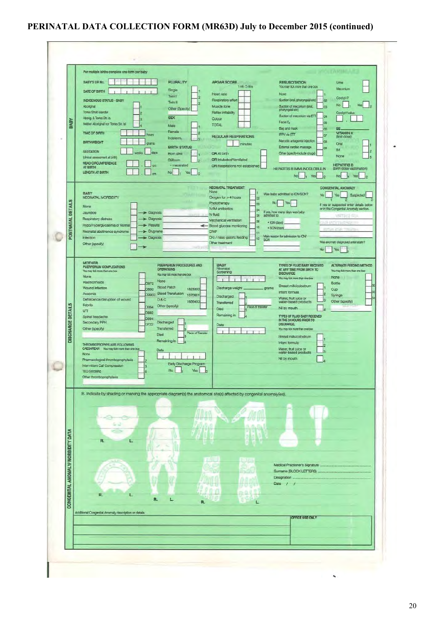### **PERINATAL DATA COLLECTION FORM (MR63D) July to December 2015 (continued)**

| CONGENITAL ANOMALY/ MORBIDITY DATA | Medical Practioner's Signature<br>Sumame (BLOCK LETTERS)<br>Designation<br>Date / /<br>a.u<br>R.<br>ι.<br>R.<br>L<br>R.<br>L<br>Additional Congenital Anomaly description or details<br>OFFICE USE ONLY                                                                                                                                                                                                                                                                                                                                                                                                                                                                                                                                                                                                                                                                                                                                                                                                                                                                                                                                                                                                                                                                                                                                                                                                                                                                                                                                                                                                                                             |
|------------------------------------|-----------------------------------------------------------------------------------------------------------------------------------------------------------------------------------------------------------------------------------------------------------------------------------------------------------------------------------------------------------------------------------------------------------------------------------------------------------------------------------------------------------------------------------------------------------------------------------------------------------------------------------------------------------------------------------------------------------------------------------------------------------------------------------------------------------------------------------------------------------------------------------------------------------------------------------------------------------------------------------------------------------------------------------------------------------------------------------------------------------------------------------------------------------------------------------------------------------------------------------------------------------------------------------------------------------------------------------------------------------------------------------------------------------------------------------------------------------------------------------------------------------------------------------------------------------------------------------------------------------------------------------------------------|
|                                    | B. Indicate by shading or marking the appropriate diagram(s) the anatomical site(s) affected by congenital anomaly(ies).<br>R.<br>L.                                                                                                                                                                                                                                                                                                                                                                                                                                                                                                                                                                                                                                                                                                                                                                                                                                                                                                                                                                                                                                                                                                                                                                                                                                                                                                                                                                                                                                                                                                                |
| <b>DISCHARGE DETAILS</b>           | <b>MOTHER</b><br>PUERPERIUM PROCEDURES AND<br><b>BABY</b><br>TYPES OF FLUID BABY RECEIVED<br>ALTERNATE FEEDING METHOD<br>PUERPERIUM COMPLICATIONS<br>Neonatal<br><b>OPERATIONS</b><br>AT ANY TIME FROM BIRTH TO<br>You may fick more than one box.<br>You may tick more than one box<br>Screening<br><b>DISCHARGE</b><br>You may tiplic more than one box.<br>None<br>None<br>You may tick more than one box<br>None<br>Haemonhoids<br><b>O872</b><br>Bottle<br>Breast milk/colostrum<br><b>Blood Patch</b><br>Wound infection<br>Discharge weight<br>grams<br>0860<br>1823300<br>Cup<br>Infant formula<br>Anaemia<br>O9903 Blood Transfusion<br>1370601<br>Syringe<br>Discharged<br>Water, fruit juice or<br>water-based products<br>Dehiscence/disruption of wound<br>D&C<br>3<br>Other (specify)<br>1656400<br>Transferred<br>Febrile<br>Other (specify)<br>Place of transfer<br><b>D864</b><br>Nil by mouth.<br>Died<br><b>UTI</b><br>D862<br>Remaining in<br>TYPES OF FLUID BABY RECEIVED<br>Spinal headache<br><b>DB94</b><br>IN THE 24 HOURS PRIOR TO<br>Secondary PPH<br>Discharged<br><b>DISCHARGE</b><br>0722<br>Date<br>Transferred<br>Other (specify)<br>You may tick more than one box<br>Place of Transfer<br><b>Died</b><br>Breast millv/colostrum<br>Remaining in<br>Infant formula<br>THROMBOPROPHYLAXIS FOLLOWING<br>CAESAREAN You may tick more than one box<br>Water, fruit juice or<br>Date<br>Js.<br>water-based products<br>None<br>Nil by mouth<br>Pharmacological thromboprophylaxis<br>g<br>Early Discharge Program<br>Intermittent Calf Compression<br>з<br>No<br>Yes<br><b>TED Stocking</b><br>Other thromboprophylaxis |
| POSTNATAL DETAILS                  | NEONATAL TREATMENT<br><b>CONGENITAL ANOMALY</b><br>None<br><b>BABY</b><br>Was baby admitted to ICN/SCN?<br>Yes<br>No<br>Suspected<br><b>NEONATAL MORBIDITY</b><br>Oxygen for > 4 hours<br>$\alpha$<br>Phototherapy<br>No<br>Yes.<br>cs.<br>If yes or suspected enter details below<br><b>None</b><br>or in the Congenital Anornaly section.<br>IV/IM antibiotics<br>04<br>If yes, how many days was baby<br>> Diagnosis<br>Jaundice<br>IV fluid<br>05<br>admitted to:<br>VRTHE FOR<br>Respiratory distress<br>$\blacktriangleright$ Diagnosis<br>Mechanical ventilation<br>O6<br>· ICN (days)<br>S HATLE COOL<br>Hypo/Hyperglycaemia or Normal<br>Results<br>- Blood glucose monitoring<br>10<br>· SCN (days).<br>Neonatal abstinence syndrome<br>> Drug name<br>CPAP<br>Œ<br>Main reason for admission to IGN/<br><b>Infection</b><br>Diagnosis<br>Oro / naso gastric feeding<br>12<br><b>SCN</b><br>Was anomaly diagnosed antenatally?<br>Other treatment<br>Other (specify)<br>CE I<br><b>No</b><br>Yes                                                                                                                                                                                                                                                                                                                                                                                                                                                                                                                                                                                                                                          |
| BABY                               | BABY'S UR No.<br><b>PLURALITY</b><br><b>APGAR SCORE</b><br><b>RESUSCITATION</b><br>Unne<br>I min 5 mins<br>You may tick more than one box<br>Meconium<br>Single<br><b>DATE OF BIRTH</b><br>None<br>Heart rate<br>Twin 1<br>Cord pH?<br><b>INDIGENOUS STATUS - BABY</b><br>Respiratory effort<br>Suction (ors), pharyngeal etc)<br>O <sub>2</sub><br>Twin II<br>lz<br>No.<br>Yes:<br>Aboriginal<br>Muscle tone<br>Suction of meconium (oral,<br>Þ<br>lœ<br>Other (Specify)<br>pharyngeal etc)<br>Torres Strait Islander<br>Reflex initability<br>Cord pH value<br>Suction of meconium via ETT<br>04<br><b>SEX</b><br>Abong. & Torres Str. Is.<br>Colour<br>Facial O <sub>2</sub><br>O <sub>5</sub><br>Neither Aboriginal nor Torres Str. Isl.<br><b>TOTAL</b><br>Male<br>Bag and mask<br><b>CG</b><br><b>BE</b><br>Female<br><b>VITAMIN K</b><br>TIME OF BIRTH<br>и<br><b>IPPV via ETT</b><br>hours<br>07<br><b>REGULAR RESPIRATIONS</b><br>(first dose)<br>Indeterm.<br>lз<br>Narcotic antagonist injection<br><b>GB</b><br><b>BIRTHWEIGHT</b><br>Oral<br>otams<br>minutes<br><b>BIRTH STATUS</b><br>External cardiac massage<br>O9<br>IM.<br><b>GESTATION</b><br>days<br>Other (specify-include drugs)<br>OR At birth<br>Born alive<br>None<br>(clinical assessment at birth)<br>OR Intubated/Ventilated<br><b>Stilborn</b><br><b>HEAD CIRCUMFERENCE</b><br><b>HEPATITIS B</b><br>- macerated<br>OR Respirations not established<br>AT BIRTH<br><b>HEPATITIS B IMMUNOGLOBULIN</b><br>(birth dose vaccination)<br>LENGTH AT BIRTH<br>No<br>No<br>$\frac{1}{1}$ Yes $\frac{1}{2}$<br>$No$ $1$<br>Yes<br>$\overline{2}$                               |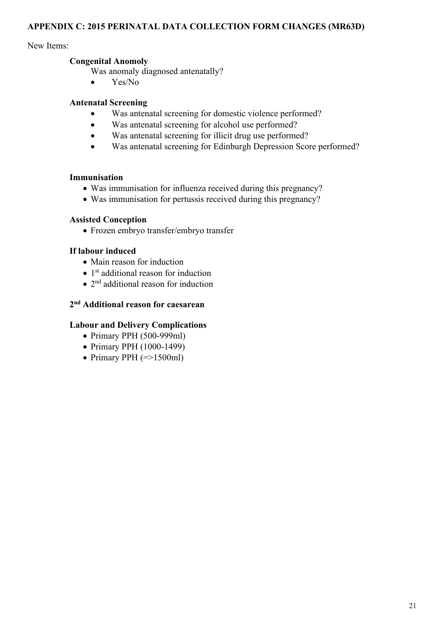#### **APPENDIX C: 2015 PERINATAL DATA COLLECTION FORM CHANGES (MR63D)**

#### New Items:

#### **Congenital Anomoly**

Was anomaly diagnosed antenatally?

• Yes/No

#### **Antenatal Screening**

- Was antenatal screening for domestic violence performed?
- Was antenatal screening for alcohol use performed?
- Was antenatal screening for illicit drug use performed?
- Was antenatal screening for Edinburgh Depression Score performed?

#### **Immunisation**

- Was immunisation for influenza received during this pregnancy?
- Was immunisation for pertussis received during this pregnancy?

#### **Assisted Conception**

Frozen embryo transfer/embryo transfer

#### **If labour induced**

- Main reason for induction
- $\bullet$  1<sup>st</sup> additional reason for induction
- $\bullet$  2<sup>nd</sup> additional reason for induction

#### **2nd Additional reason for caesarean**

#### **Labour and Delivery Complications**

- $\bullet$  Primary PPH (500-999ml)
- Primary PPH (1000-1499)
- Primary PPH  $(=>1500ml)$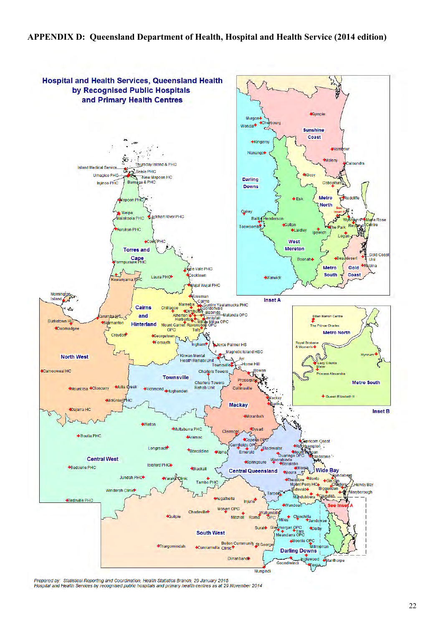#### **APPENDIX D: Queensland Department of Health, Hospital and Health Service (2014 edition)**



Prepared by: Statistical Reporting and Coordination, Health Statistics Branch, 29 January 2015<br>Hospital and Health Services by recognised public hospitals and primary health centres as at 29 November 2014